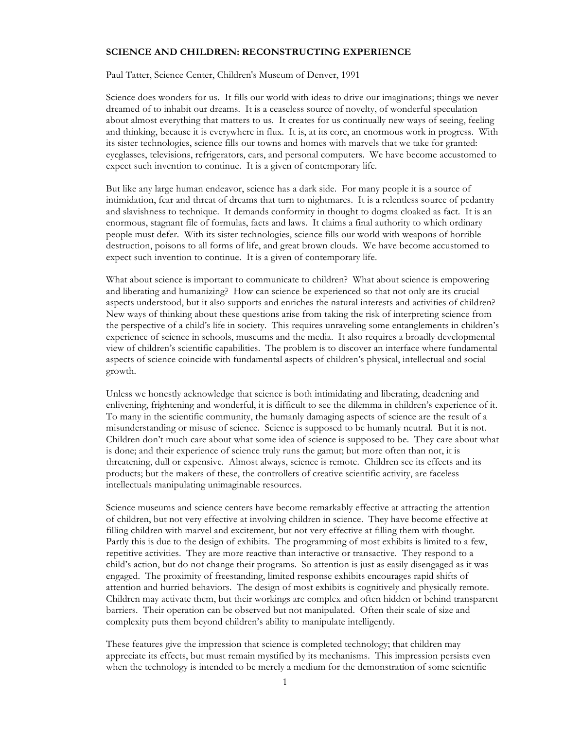## **SCIENCE AND CHILDREN: RECONSTRUCTING EXPERIENCE**

Paul Tatter, Science Center, Children's Museum of Denver, 1991

Science does wonders for us. It fills our world with ideas to drive our imaginations; things we never dreamed of to inhabit our dreams. It is a ceaseless source of novelty, of wonderful speculation about almost everything that matters to us. It creates for us continually new ways of seeing, feeling and thinking, because it is everywhere in flux. It is, at its core, an enormous work in progress. With its sister technologies, science fills our towns and homes with marvels that we take for granted: eyeglasses, televisions, refrigerators, cars, and personal computers. We have become accustomed to expect such invention to continue. It is a given of contemporary life.

But like any large human endeavor, science has a dark side. For many people it is a source of intimidation, fear and threat of dreams that turn to nightmares. It is a relentless source of pedantry and slavishness to technique. It demands conformity in thought to dogma cloaked as fact. It is an enormous, stagnant file of formulas, facts and laws. It claims a final authority to which ordinary people must defer. With its sister technologies, science fills our world with weapons of horrible destruction, poisons to all forms of life, and great brown clouds. We have become accustomed to expect such invention to continue. It is a given of contemporary life.

What about science is important to communicate to children? What about science is empowering and liberating and humanizing? How can science be experienced so that not only are its crucial aspects understood, but it also supports and enriches the natural interests and activities of children? New ways of thinking about these questions arise from taking the risk of interpreting science from the perspective of a child's life in society. This requires unraveling some entanglements in children's experience of science in schools, museums and the media. It also requires a broadly developmental view of children's scientific capabilities. The problem is to discover an interface where fundamental aspects of science coincide with fundamental aspects of children's physical, intellectual and social growth.

Unless we honestly acknowledge that science is both intimidating and liberating, deadening and enlivening, frightening and wonderful, it is difficult to see the dilemma in children's experience of it. To many in the scientific community, the humanly damaging aspects of science are the result of a misunderstanding or misuse of science. Science is supposed to be humanly neutral. But it is not. Children don't much care about what some idea of science is supposed to be. They care about what is done; and their experience of science truly runs the gamut; but more often than not, it is threatening, dull or expensive. Almost always, science is remote. Children see its effects and its products; but the makers of these, the controllers of creative scientific activity, are faceless intellectuals manipulating unimaginable resources.

Science museums and science centers have become remarkably effective at attracting the attention of children, but not very effective at involving children in science. They have become effective at filling children with marvel and excitement, but not very effective at filling them with thought. Partly this is due to the design of exhibits. The programming of most exhibits is limited to a few, repetitive activities. They are more reactive than interactive or transactive. They respond to a child's action, but do not change their programs. So attention is just as easily disengaged as it was engaged. The proximity of freestanding, limited response exhibits encourages rapid shifts of attention and hurried behaviors. The design of most exhibits is cognitively and physically remote. Children may activate them, but their workings are complex and often hidden or behind transparent barriers. Their operation can be observed but not manipulated. Often their scale of size and complexity puts them beyond children's ability to manipulate intelligently.

These features give the impression that science is completed technology; that children may appreciate its effects, but must remain mystified by its mechanisms. This impression persists even when the technology is intended to be merely a medium for the demonstration of some scientific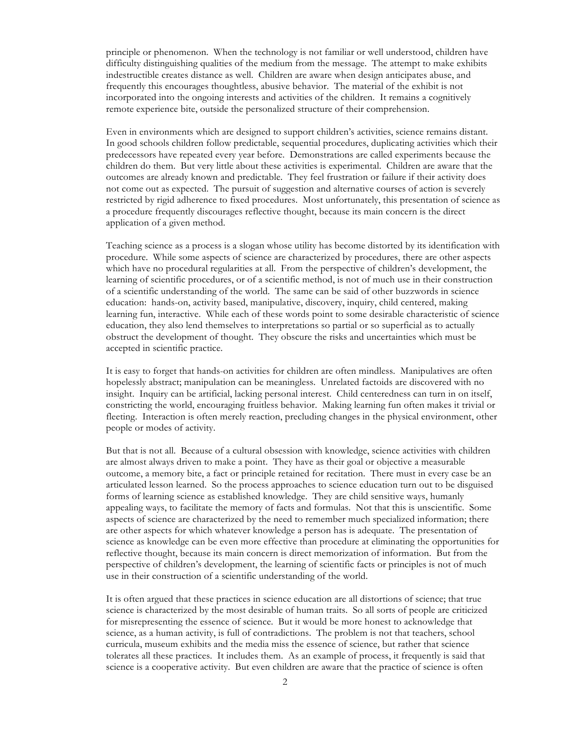principle or phenomenon. When the technology is not familiar or well understood, children have difficulty distinguishing qualities of the medium from the message. The attempt to make exhibits indestructible creates distance as well. Children are aware when design anticipates abuse, and frequently this encourages thoughtless, abusive behavior. The material of the exhibit is not incorporated into the ongoing interests and activities of the children. It remains a cognitively remote experience bite, outside the personalized structure of their comprehension.

Even in environments which are designed to support children's activities, science remains distant. In good schools children follow predictable, sequential procedures, duplicating activities which their predecessors have repeated every year before. Demonstrations are called experiments because the children do them. But very little about these activities is experimental. Children are aware that the outcomes are already known and predictable. They feel frustration or failure if their activity does not come out as expected. The pursuit of suggestion and alternative courses of action is severely restricted by rigid adherence to fixed procedures. Most unfortunately, this presentation of science as a procedure frequently discourages reflective thought, because its main concern is the direct application of a given method.

Teaching science as a process is a slogan whose utility has become distorted by its identification with procedure. While some aspects of science are characterized by procedures, there are other aspects which have no procedural regularities at all. From the perspective of children's development, the learning of scientific procedures, or of a scientific method, is not of much use in their construction of a scientific understanding of the world. The same can be said of other buzzwords in science education: hands-on, activity based, manipulative, discovery, inquiry, child centered, making learning fun, interactive. While each of these words point to some desirable characteristic of science education, they also lend themselves to interpretations so partial or so superficial as to actually obstruct the development of thought. They obscure the risks and uncertainties which must be accepted in scientific practice.

It is easy to forget that hands-on activities for children are often mindless. Manipulatives are often hopelessly abstract; manipulation can be meaningless. Unrelated factoids are discovered with no insight. Inquiry can be artificial, lacking personal interest. Child centeredness can turn in on itself, constricting the world, encouraging fruitless behavior. Making learning fun often makes it trivial or fleeting. Interaction is often merely reaction, precluding changes in the physical environment, other people or modes of activity.

But that is not all. Because of a cultural obsession with knowledge, science activities with children are almost always driven to make a point. They have as their goal or objective a measurable outcome, a memory bite, a fact or principle retained for recitation. There must in every case be an articulated lesson learned. So the process approaches to science education turn out to be disguised forms of learning science as established knowledge. They are child sensitive ways, humanly appealing ways, to facilitate the memory of facts and formulas. Not that this is unscientific. Some aspects of science are characterized by the need to remember much specialized information; there are other aspects for which whatever knowledge a person has is adequate. The presentation of science as knowledge can be even more effective than procedure at eliminating the opportunities for reflective thought, because its main concern is direct memorization of information. But from the perspective of children's development, the learning of scientific facts or principles is not of much use in their construction of a scientific understanding of the world.

It is often argued that these practices in science education are all distortions of science; that true science is characterized by the most desirable of human traits. So all sorts of people are criticized for misrepresenting the essence of science. But it would be more honest to acknowledge that science, as a human activity, is full of contradictions. The problem is not that teachers, school curricula, museum exhibits and the media miss the essence of science, but rather that science tolerates all these practices. It includes them. As an example of process, it frequently is said that science is a cooperative activity. But even children are aware that the practice of science is often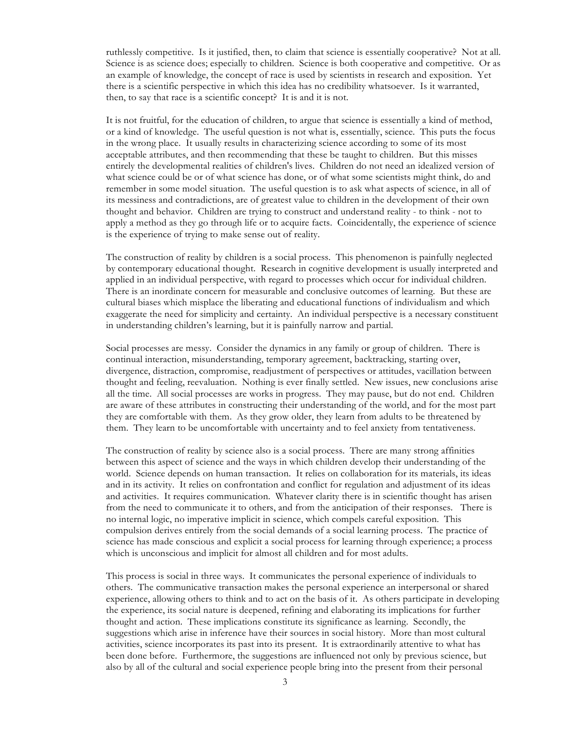ruthlessly competitive. Is it justified, then, to claim that science is essentially cooperative? Not at all. Science is as science does; especially to children. Science is both cooperative and competitive. Or as an example of knowledge, the concept of race is used by scientists in research and exposition. Yet there is a scientific perspective in which this idea has no credibility whatsoever. Is it warranted, then, to say that race is a scientific concept? It is and it is not.

It is not fruitful, for the education of children, to argue that science is essentially a kind of method, or a kind of knowledge. The useful question is not what is, essentially, science. This puts the focus in the wrong place. It usually results in characterizing science according to some of its most acceptable attributes, and then recommending that these be taught to children. But this misses entirely the developmental realities of children's lives. Children do not need an idealized version of what science could be or of what science has done, or of what some scientists might think, do and remember in some model situation. The useful question is to ask what aspects of science, in all of its messiness and contradictions, are of greatest value to children in the development of their own thought and behavior. Children are trying to construct and understand reality - to think - not to apply a method as they go through life or to acquire facts. Coincidentally, the experience of science is the experience of trying to make sense out of reality.

The construction of reality by children is a social process. This phenomenon is painfully neglected by contemporary educational thought. Research in cognitive development is usually interpreted and applied in an individual perspective, with regard to processes which occur for individual children. There is an inordinate concern for measurable and conclusive outcomes of learning. But these are cultural biases which misplace the liberating and educational functions of individualism and which exaggerate the need for simplicity and certainty. An individual perspective is a necessary constituent in understanding children's learning, but it is painfully narrow and partial.

Social processes are messy. Consider the dynamics in any family or group of children. There is continual interaction, misunderstanding, temporary agreement, backtracking, starting over, divergence, distraction, compromise, readjustment of perspectives or attitudes, vacillation between thought and feeling, reevaluation. Nothing is ever finally settled. New issues, new conclusions arise all the time. All social processes are works in progress. They may pause, but do not end. Children are aware of these attributes in constructing their understanding of the world, and for the most part they are comfortable with them. As they grow older, they learn from adults to be threatened by them. They learn to be uncomfortable with uncertainty and to feel anxiety from tentativeness.

The construction of reality by science also is a social process. There are many strong affinities between this aspect of science and the ways in which children develop their understanding of the world. Science depends on human transaction. It relies on collaboration for its materials, its ideas and in its activity. It relies on confrontation and conflict for regulation and adjustment of its ideas and activities. It requires communication. Whatever clarity there is in scientific thought has arisen from the need to communicate it to others, and from the anticipation of their responses. There is no internal logic, no imperative implicit in science, which compels careful exposition. This compulsion derives entirely from the social demands of a social learning process. The practice of science has made conscious and explicit a social process for learning through experience; a process which is unconscious and implicit for almost all children and for most adults.

This process is social in three ways. It communicates the personal experience of individuals to others. The communicative transaction makes the personal experience an interpersonal or shared experience, allowing others to think and to act on the basis of it. As others participate in developing the experience, its social nature is deepened, refining and elaborating its implications for further thought and action. These implications constitute its significance as learning. Secondly, the suggestions which arise in inference have their sources in social history. More than most cultural activities, science incorporates its past into its present. It is extraordinarily attentive to what has been done before. Furthermore, the suggestions are influenced not only by previous science, but also by all of the cultural and social experience people bring into the present from their personal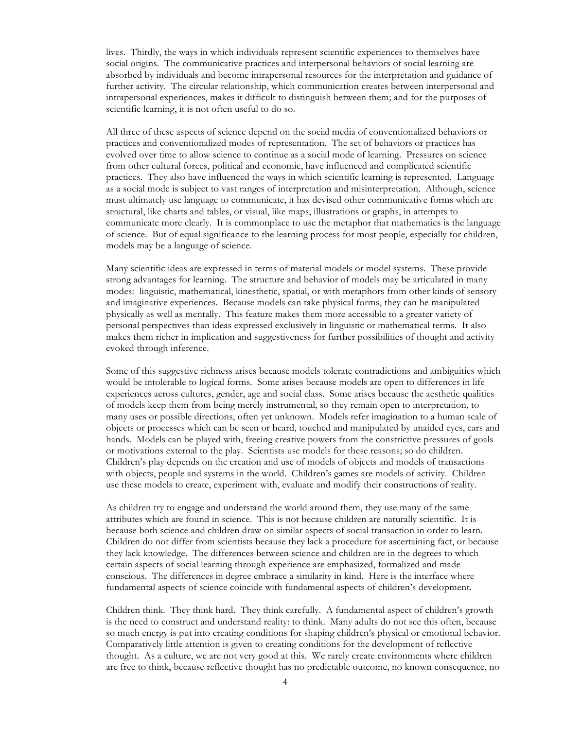lives. Thirdly, the ways in which individuals represent scientific experiences to themselves have social origins. The communicative practices and interpersonal behaviors of social learning are absorbed by individuals and become intrapersonal resources for the interpretation and guidance of further activity. The circular relationship, which communication creates between interpersonal and intrapersonal experiences, makes it difficult to distinguish between them; and for the purposes of scientific learning, it is not often useful to do so.

All three of these aspects of science depend on the social media of conventionalized behaviors or practices and conventionalized modes of representation. The set of behaviors or practices has evolved over time to allow science to continue as a social mode of learning. Pressures on science from other cultural forces, political and economic, have influenced and complicated scientific practices. They also have influenced the ways in which scientific learning is represented. Language as a social mode is subject to vast ranges of interpretation and misinterpretation. Although, science must ultimately use language to communicate, it has devised other communicative forms which are structural, like charts and tables, or visual, like maps, illustrations or graphs, in attempts to communicate more clearly. It is commonplace to use the metaphor that mathematics is the language of science. But of equal significance to the learning process for most people, especially for children, models may be a language of science.

Many scientific ideas are expressed in terms of material models or model systems. These provide strong advantages for learning. The structure and behavior of models may be articulated in many modes: linguistic, mathematical, kinesthetic, spatial, or with metaphors from other kinds of sensory and imaginative experiences. Because models can take physical forms, they can be manipulated physically as well as mentally. This feature makes them more accessible to a greater variety of personal perspectives than ideas expressed exclusively in linguistic or mathematical terms. It also makes them richer in implication and suggestiveness for further possibilities of thought and activity evoked through inference.

Some of this suggestive richness arises because models tolerate contradictions and ambiguities which would be intolerable to logical forms. Some arises because models are open to differences in life experiences across cultures, gender, age and social class. Some arises because the aesthetic qualities of models keep them from being merely instrumental, so they remain open to interpretation, to many uses or possible directions, often yet unknown. Models refer imagination to a human scale of objects or processes which can be seen or heard, touched and manipulated by unaided eyes, ears and hands. Models can be played with, freeing creative powers from the constrictive pressures of goals or motivations external to the play. Scientists use models for these reasons; so do children. Children's play depends on the creation and use of models of objects and models of transactions with objects, people and systems in the world. Children's games are models of activity. Children use these models to create, experiment with, evaluate and modify their constructions of reality.

As children try to engage and understand the world around them, they use many of the same attributes which are found in science. This is not because children are naturally scientific. It is because both science and children draw on similar aspects of social transaction in order to learn. Children do not differ from scientists because they lack a procedure for ascertaining fact, or because they lack knowledge. The differences between science and children are in the degrees to which certain aspects of social learning through experience are emphasized, formalized and made conscious. The differences in degree embrace a similarity in kind. Here is the interface where fundamental aspects of science coincide with fundamental aspects of children's development.

Children think. They think hard. They think carefully. A fundamental aspect of children's growth is the need to construct and understand reality: to think. Many adults do not see this often, because so much energy is put into creating conditions for shaping children's physical or emotional behavior. Comparatively little attention is given to creating conditions for the development of reflective thought. As a culture, we are not very good at this. We rarely create environments where children are free to think, because reflective thought has no predictable outcome, no known consequence, no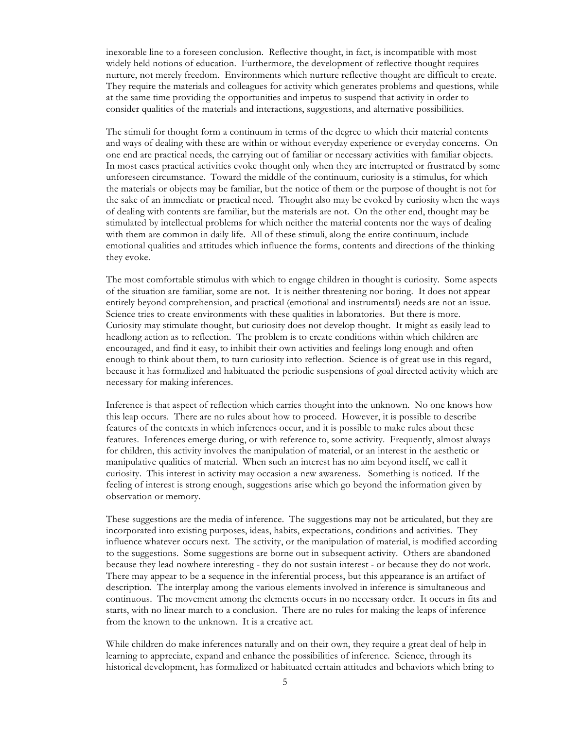inexorable line to a foreseen conclusion. Reflective thought, in fact, is incompatible with most widely held notions of education. Furthermore, the development of reflective thought requires nurture, not merely freedom. Environments which nurture reflective thought are difficult to create. They require the materials and colleagues for activity which generates problems and questions, while at the same time providing the opportunities and impetus to suspend that activity in order to consider qualities of the materials and interactions, suggestions, and alternative possibilities.

The stimuli for thought form a continuum in terms of the degree to which their material contents and ways of dealing with these are within or without everyday experience or everyday concerns. On one end are practical needs, the carrying out of familiar or necessary activities with familiar objects. In most cases practical activities evoke thought only when they are interrupted or frustrated by some unforeseen circumstance. Toward the middle of the continuum, curiosity is a stimulus, for which the materials or objects may be familiar, but the notice of them or the purpose of thought is not for the sake of an immediate or practical need. Thought also may be evoked by curiosity when the ways of dealing with contents are familiar, but the materials are not. On the other end, thought may be stimulated by intellectual problems for which neither the material contents nor the ways of dealing with them are common in daily life. All of these stimuli, along the entire continuum, include emotional qualities and attitudes which influence the forms, contents and directions of the thinking they evoke.

The most comfortable stimulus with which to engage children in thought is curiosity. Some aspects of the situation are familiar, some are not. It is neither threatening nor boring. It does not appear entirely beyond comprehension, and practical (emotional and instrumental) needs are not an issue. Science tries to create environments with these qualities in laboratories. But there is more. Curiosity may stimulate thought, but curiosity does not develop thought. It might as easily lead to headlong action as to reflection. The problem is to create conditions within which children are encouraged, and find it easy, to inhibit their own activities and feelings long enough and often enough to think about them, to turn curiosity into reflection. Science is of great use in this regard, because it has formalized and habituated the periodic suspensions of goal directed activity which are necessary for making inferences.

Inference is that aspect of reflection which carries thought into the unknown. No one knows how this leap occurs. There are no rules about how to proceed. However, it is possible to describe features of the contexts in which inferences occur, and it is possible to make rules about these features. Inferences emerge during, or with reference to, some activity. Frequently, almost always for children, this activity involves the manipulation of material, or an interest in the aesthetic or manipulative qualities of material. When such an interest has no aim beyond itself, we call it curiosity. This interest in activity may occasion a new awareness. Something is noticed. If the feeling of interest is strong enough, suggestions arise which go beyond the information given by observation or memory.

These suggestions are the media of inference. The suggestions may not be articulated, but they are incorporated into existing purposes, ideas, habits, expectations, conditions and activities. They influence whatever occurs next. The activity, or the manipulation of material, is modified according to the suggestions. Some suggestions are borne out in subsequent activity. Others are abandoned because they lead nowhere interesting - they do not sustain interest - or because they do not work. There may appear to be a sequence in the inferential process, but this appearance is an artifact of description. The interplay among the various elements involved in inference is simultaneous and continuous. The movement among the elements occurs in no necessary order. It occurs in fits and starts, with no linear march to a conclusion. There are no rules for making the leaps of inference from the known to the unknown. It is a creative act.

While children do make inferences naturally and on their own, they require a great deal of help in learning to appreciate, expand and enhance the possibilities of inference. Science, through its historical development, has formalized or habituated certain attitudes and behaviors which bring to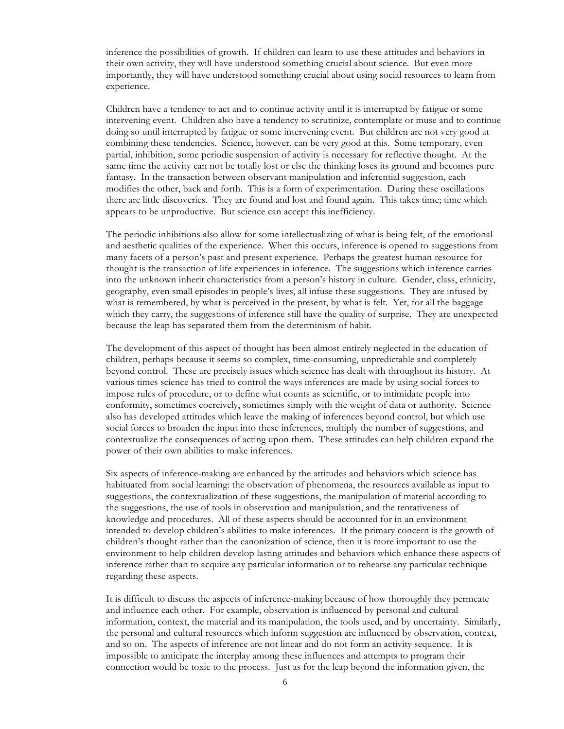inference the possibilities of growth. If children can learn to use these attitudes and behaviors in their own activity, they will have understood something crucial about science. But even more importantly, they will have understood something crucial about using social resources to learn from experience.

Children have a tendency to act and to continue activity until it is interrupted by fatigue or some intervening event. Children also have a tendency to scrutinize, contemplate or muse and to continue doing so until interrupted by fatigue or some intervening event. But children are not very good at combining these tendencies. Science, however, can be very good at this. Some temporary, even partial, inhibition, some periodic suspension of activity is necessary for reflective thought. At the same time the activity can not be totally lost or else the thinking loses its ground and becomes pure fantasy. In the transaction between observant manipulation and inferential suggestion, each modifies the other, back and forth. This is a form of experimentation. During these oscillations there are little discoveries. They are found and lost and found again. This takes time; time which appears to be unproductive. But science can accept this inefficiency.

The periodic inhibitions also allow for some intellectualizing of what is being felt, of the emotional and aesthetic qualities of the experience. When this occurs, inference is opened to suggestions from many facets of a person's past and present experience. Perhaps the greatest human resource for thought is the transaction of life experiences in inference. The suggestions which inference carries into the unknown inherit characteristics from a person's history in culture. Gender, class, ethnicity, geography, even small episodes in people's lives, all infuse these suggestions. They are infused by what is remembered, by what is perceived in the present, by what is felt. Yet, for all the baggage which they carry, the suggestions of inference still have the quality of surprise. They are unexpected because the leap has separated them from the determinism of habit.

The development of this aspect of thought has been almost entirely neglected in the education of children, perhaps because it seems so complex, time-consuming, unpredictable and completely beyond control. These are precisely issues which science has dealt with throughout its history. At various times science has tried to control the ways inferences are made by using social forces to impose rules of procedure, or to define what counts as scientific, or to intimidate people into conformity, sometimes coercively, sometimes simply with the weight of data or authority. Science also has developed attitudes which leave the making of inferences beyond control, but which use social forces to broaden the input into these inferences, multiply the number of suggestions, and contextualize the consequences of acting upon them. These attitudes can help children expand the power of their own abilities to make inferences.

Six aspects of inference-making are enhanced by the attitudes and behaviors which science has habituated from social learning: the observation of phenomena, the resources available as input to suggestions, the contextualization of these suggestions, the manipulation of material according to the suggestions, the use of tools in observation and manipulation, and the tentativeness of knowledge and procedures. All of these aspects should be accounted for in an environment intended to develop children's abilities to make inferences. If the primary concern is the growth of children's thought rather than the canonization of science, then it is more important to use the environment to help children develop lasting attitudes and behaviors which enhance these aspects of inference rather than to acquire any particular information or to rehearse any particular technique regarding these aspects.

It is difficult to discuss the aspects of inference-making because of how thoroughly they permeate and influence each other. For example, observation is influenced by personal and cultural information, context, the material and its manipulation, the tools used, and by uncertainty. Similarly, the personal and cultural resources which inform suggestion are influenced by observation, context, and so on. The aspects of inference are not linear and do not form an activity sequence. It is impossible to anticipate the interplay among these influences and attempts to program their connection would be toxic to the process. Just as for the leap beyond the information given, the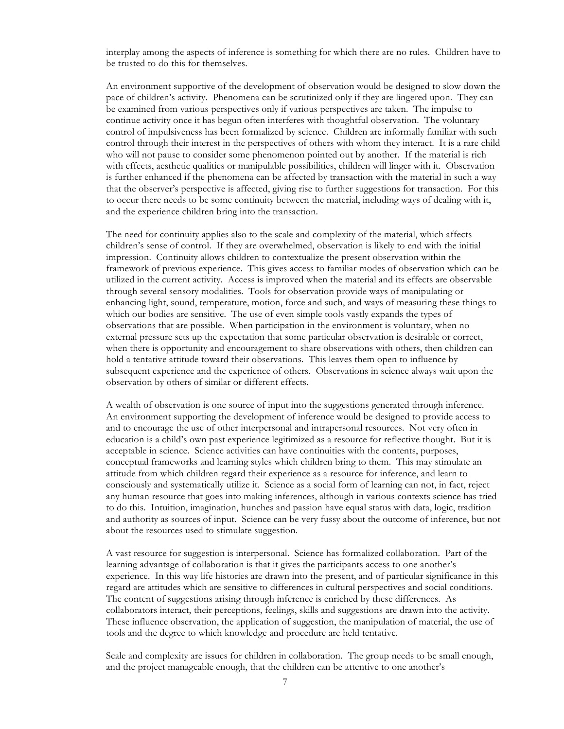interplay among the aspects of inference is something for which there are no rules. Children have to be trusted to do this for themselves.

An environment supportive of the development of observation would be designed to slow down the pace of children's activity. Phenomena can be scrutinized only if they are lingered upon. They can be examined from various perspectives only if various perspectives are taken. The impulse to continue activity once it has begun often interferes with thoughtful observation. The voluntary control of impulsiveness has been formalized by science. Children are informally familiar with such control through their interest in the perspectives of others with whom they interact. It is a rare child who will not pause to consider some phenomenon pointed out by another. If the material is rich with effects, aesthetic qualities or manipulable possibilities, children will linger with it. Observation is further enhanced if the phenomena can be affected by transaction with the material in such a way that the observer's perspective is affected, giving rise to further suggestions for transaction. For this to occur there needs to be some continuity between the material, including ways of dealing with it, and the experience children bring into the transaction.

The need for continuity applies also to the scale and complexity of the material, which affects children's sense of control. If they are overwhelmed, observation is likely to end with the initial impression. Continuity allows children to contextualize the present observation within the framework of previous experience. This gives access to familiar modes of observation which can be utilized in the current activity. Access is improved when the material and its effects are observable through several sensory modalities. Tools for observation provide ways of manipulating or enhancing light, sound, temperature, motion, force and such, and ways of measuring these things to which our bodies are sensitive. The use of even simple tools vastly expands the types of observations that are possible. When participation in the environment is voluntary, when no external pressure sets up the expectation that some particular observation is desirable or correct, when there is opportunity and encouragement to share observations with others, then children can hold a tentative attitude toward their observations. This leaves them open to influence by subsequent experience and the experience of others. Observations in science always wait upon the observation by others of similar or different effects.

A wealth of observation is one source of input into the suggestions generated through inference. An environment supporting the development of inference would be designed to provide access to and to encourage the use of other interpersonal and intrapersonal resources. Not very often in education is a child's own past experience legitimized as a resource for reflective thought. But it is acceptable in science. Science activities can have continuities with the contents, purposes, conceptual frameworks and learning styles which children bring to them. This may stimulate an attitude from which children regard their experience as a resource for inference, and learn to consciously and systematically utilize it. Science as a social form of learning can not, in fact, reject any human resource that goes into making inferences, although in various contexts science has tried to do this. Intuition, imagination, hunches and passion have equal status with data, logic, tradition and authority as sources of input. Science can be very fussy about the outcome of inference, but not about the resources used to stimulate suggestion.

A vast resource for suggestion is interpersonal. Science has formalized collaboration. Part of the learning advantage of collaboration is that it gives the participants access to one another's experience. In this way life histories are drawn into the present, and of particular significance in this regard are attitudes which are sensitive to differences in cultural perspectives and social conditions. The content of suggestions arising through inference is enriched by these differences. As collaborators interact, their perceptions, feelings, skills and suggestions are drawn into the activity. These influence observation, the application of suggestion, the manipulation of material, the use of tools and the degree to which knowledge and procedure are held tentative.

Scale and complexity are issues for children in collaboration. The group needs to be small enough, and the project manageable enough, that the children can be attentive to one another's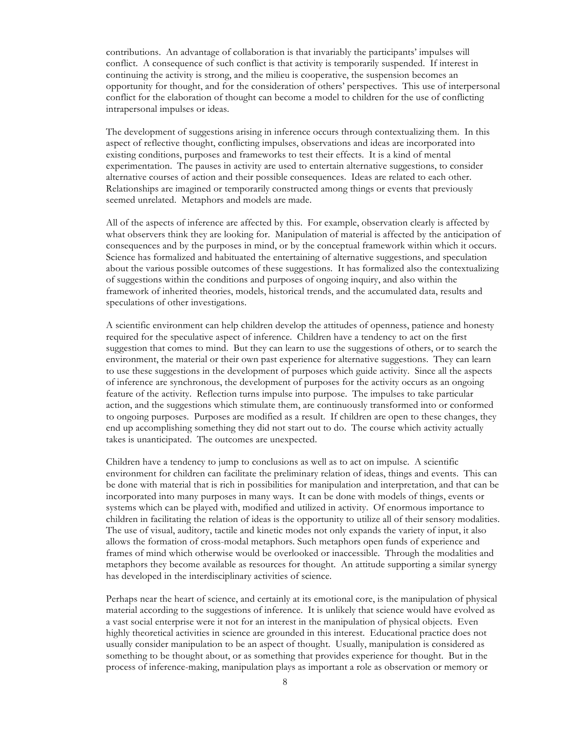contributions. An advantage of collaboration is that invariably the participants' impulses will conflict. A consequence of such conflict is that activity is temporarily suspended. If interest in continuing the activity is strong, and the milieu is cooperative, the suspension becomes an opportunity for thought, and for the consideration of others' perspectives. This use of interpersonal conflict for the elaboration of thought can become a model to children for the use of conflicting intrapersonal impulses or ideas.

The development of suggestions arising in inference occurs through contextualizing them. In this aspect of reflective thought, conflicting impulses, observations and ideas are incorporated into existing conditions, purposes and frameworks to test their effects. It is a kind of mental experimentation. The pauses in activity are used to entertain alternative suggestions, to consider alternative courses of action and their possible consequences. Ideas are related to each other. Relationships are imagined or temporarily constructed among things or events that previously seemed unrelated. Metaphors and models are made.

All of the aspects of inference are affected by this. For example, observation clearly is affected by what observers think they are looking for. Manipulation of material is affected by the anticipation of consequences and by the purposes in mind, or by the conceptual framework within which it occurs. Science has formalized and habituated the entertaining of alternative suggestions, and speculation about the various possible outcomes of these suggestions. It has formalized also the contextualizing of suggestions within the conditions and purposes of ongoing inquiry, and also within the framework of inherited theories, models, historical trends, and the accumulated data, results and speculations of other investigations.

A scientific environment can help children develop the attitudes of openness, patience and honesty required for the speculative aspect of inference. Children have a tendency to act on the first suggestion that comes to mind. But they can learn to use the suggestions of others, or to search the environment, the material or their own past experience for alternative suggestions. They can learn to use these suggestions in the development of purposes which guide activity. Since all the aspects of inference are synchronous, the development of purposes for the activity occurs as an ongoing feature of the activity. Reflection turns impulse into purpose. The impulses to take particular action, and the suggestions which stimulate them, are continuously transformed into or conformed to ongoing purposes. Purposes are modified as a result. If children are open to these changes, they end up accomplishing something they did not start out to do. The course which activity actually takes is unanticipated. The outcomes are unexpected.

Children have a tendency to jump to conclusions as well as to act on impulse. A scientific environment for children can facilitate the preliminary relation of ideas, things and events. This can be done with material that is rich in possibilities for manipulation and interpretation, and that can be incorporated into many purposes in many ways. It can be done with models of things, events or systems which can be played with, modified and utilized in activity. Of enormous importance to children in facilitating the relation of ideas is the opportunity to utilize all of their sensory modalities. The use of visual, auditory, tactile and kinetic modes not only expands the variety of input, it also allows the formation of cross-modal metaphors. Such metaphors open funds of experience and frames of mind which otherwise would be overlooked or inaccessible. Through the modalities and metaphors they become available as resources for thought. An attitude supporting a similar synergy has developed in the interdisciplinary activities of science.

Perhaps near the heart of science, and certainly at its emotional core, is the manipulation of physical material according to the suggestions of inference. It is unlikely that science would have evolved as a vast social enterprise were it not for an interest in the manipulation of physical objects. Even highly theoretical activities in science are grounded in this interest. Educational practice does not usually consider manipulation to be an aspect of thought. Usually, manipulation is considered as something to be thought about, or as something that provides experience for thought. But in the process of inference-making, manipulation plays as important a role as observation or memory or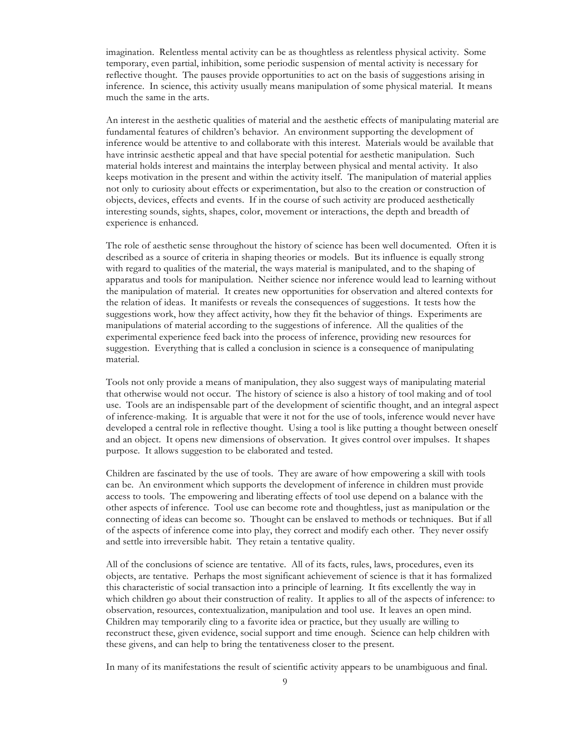imagination. Relentless mental activity can be as thoughtless as relentless physical activity. Some temporary, even partial, inhibition, some periodic suspension of mental activity is necessary for reflective thought. The pauses provide opportunities to act on the basis of suggestions arising in inference. In science, this activity usually means manipulation of some physical material. It means much the same in the arts.

An interest in the aesthetic qualities of material and the aesthetic effects of manipulating material are fundamental features of children's behavior. An environment supporting the development of inference would be attentive to and collaborate with this interest. Materials would be available that have intrinsic aesthetic appeal and that have special potential for aesthetic manipulation. Such material holds interest and maintains the interplay between physical and mental activity. It also keeps motivation in the present and within the activity itself. The manipulation of material applies not only to curiosity about effects or experimentation, but also to the creation or construction of objects, devices, effects and events. If in the course of such activity are produced aesthetically interesting sounds, sights, shapes, color, movement or interactions, the depth and breadth of experience is enhanced.

The role of aesthetic sense throughout the history of science has been well documented. Often it is described as a source of criteria in shaping theories or models. But its influence is equally strong with regard to qualities of the material, the ways material is manipulated, and to the shaping of apparatus and tools for manipulation. Neither science nor inference would lead to learning without the manipulation of material. It creates new opportunities for observation and altered contexts for the relation of ideas. It manifests or reveals the consequences of suggestions. It tests how the suggestions work, how they affect activity, how they fit the behavior of things. Experiments are manipulations of material according to the suggestions of inference. All the qualities of the experimental experience feed back into the process of inference, providing new resources for suggestion. Everything that is called a conclusion in science is a consequence of manipulating material.

Tools not only provide a means of manipulation, they also suggest ways of manipulating material that otherwise would not occur. The history of science is also a history of tool making and of tool use. Tools are an indispensable part of the development of scientific thought, and an integral aspect of inference-making. It is arguable that were it not for the use of tools, inference would never have developed a central role in reflective thought. Using a tool is like putting a thought between oneself and an object. It opens new dimensions of observation. It gives control over impulses. It shapes purpose. It allows suggestion to be elaborated and tested.

Children are fascinated by the use of tools. They are aware of how empowering a skill with tools can be. An environment which supports the development of inference in children must provide access to tools. The empowering and liberating effects of tool use depend on a balance with the other aspects of inference. Tool use can become rote and thoughtless, just as manipulation or the connecting of ideas can become so. Thought can be enslaved to methods or techniques. But if all of the aspects of inference come into play, they correct and modify each other. They never ossify and settle into irreversible habit. They retain a tentative quality.

All of the conclusions of science are tentative. All of its facts, rules, laws, procedures, even its objects, are tentative. Perhaps the most significant achievement of science is that it has formalized this characteristic of social transaction into a principle of learning. It fits excellently the way in which children go about their construction of reality. It applies to all of the aspects of inference: to observation, resources, contextualization, manipulation and tool use. It leaves an open mind. Children may temporarily cling to a favorite idea or practice, but they usually are willing to reconstruct these, given evidence, social support and time enough. Science can help children with these givens, and can help to bring the tentativeness closer to the present.

In many of its manifestations the result of scientific activity appears to be unambiguous and final.